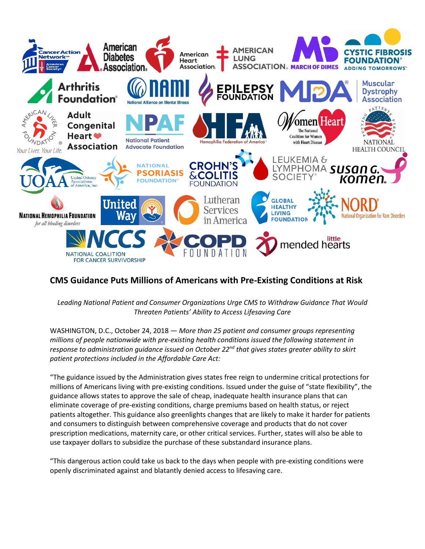

## **CMS Guidance Puts Millions of Americans with Pre-Existing Conditions at Risk**

*Leading National Patient and Consumer Organizations Urge CMS to Withdraw Guidance That Would Threaten Patients' Ability to Access Lifesaving Care*

WASHINGTON, D.C., October 24, 2018 — *More than 25 patient and consumer groups representing millions of people nationwide with pre-existing health conditions issued the following statement in response to administration guidance issued on October 22nd that gives states greater ability to skirt patient protections included in the Affordable Care Act:*

"The guidance issued by the Administration gives states free reign to undermine critical protections for millions of Americans living with pre-existing conditions. Issued under the guise of "state flexibility", the guidance allows states to approve the sale of cheap, inadequate health insurance plans that can eliminate coverage of pre-existing conditions, charge premiums based on health status, or reject patients altogether. This guidance also greenlights changes that are likely to make it harder for patients and consumers to distinguish between comprehensive coverage and products that do not cover prescription medications, maternity care, or other critical services. Further, states will also be able to use taxpayer dollars to subsidize the purchase of these substandard insurance plans.

"This dangerous action could take us back to the days when people with pre-existing conditions were openly discriminated against and blatantly denied access to lifesaving care.